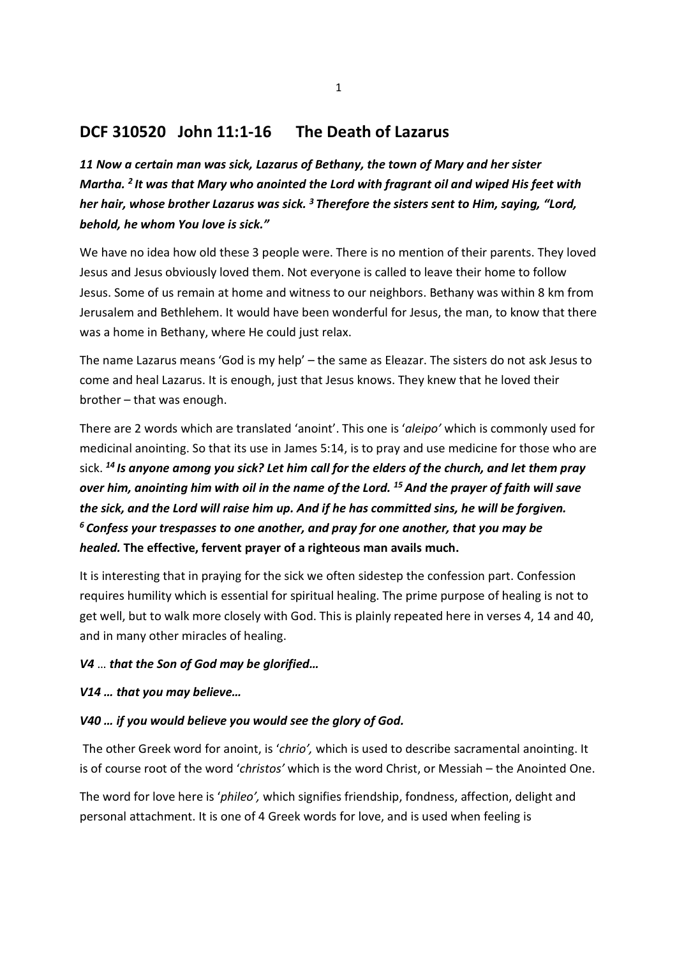# DCF 310520 John 11:1-16 The Death of Lazarus

11 Now a certain man was sick, Lazarus of Bethany, the town of Mary and her sister Martha. <sup>2</sup> It was that Mary who anointed the Lord with fragrant oil and wiped His feet with her hair, whose brother Lazarus was sick.<sup>3</sup> Therefore the sisters sent to Him, saying, "Lord, behold, he whom You love is sick."

We have no idea how old these 3 people were. There is no mention of their parents. They loved Jesus and Jesus obviously loved them. Not everyone is called to leave their home to follow Jesus. Some of us remain at home and witness to our neighbors. Bethany was within 8 km from Jerusalem and Bethlehem. It would have been wonderful for Jesus, the man, to know that there was a home in Bethany, where He could just relax.

The name Lazarus means 'God is my help' – the same as Eleazar. The sisters do not ask Jesus to come and heal Lazarus. It is enough, just that Jesus knows. They knew that he loved their brother – that was enough.

There are 2 words which are translated 'anoint'. This one is 'aleipo' which is commonly used for medicinal anointing. So that its use in James 5:14, is to pray and use medicine for those who are sick.  $^{14}$  Is anyone among you sick? Let him call for the elders of the church, and let them pray over him, anointing him with oil in the name of the Lord.<sup>15</sup> And the prayer of faith will save the sick, and the Lord will raise him up. And if he has committed sins, he will be forgiven.  $6$  Confess your trespasses to one another, and pray for one another, that you may be healed. The effective, fervent prayer of a righteous man avails much.

It is interesting that in praying for the sick we often sidestep the confession part. Confession requires humility which is essential for spiritual healing. The prime purpose of healing is not to get well, but to walk more closely with God. This is plainly repeated here in verses 4, 14 and 40, and in many other miracles of healing.

### V4 … that the Son of God may be glorified…

### V14 … that you may believe…

## V40 … if you would believe you would see the glory of God.

The other Greek word for anoint, is 'chrio', which is used to describe sacramental anointing. It is of course root of the word 'christos' which is the word Christ, or Messiah – the Anointed One.

The word for love here is 'phileo', which signifies friendship, fondness, affection, delight and personal attachment. It is one of 4 Greek words for love, and is used when feeling is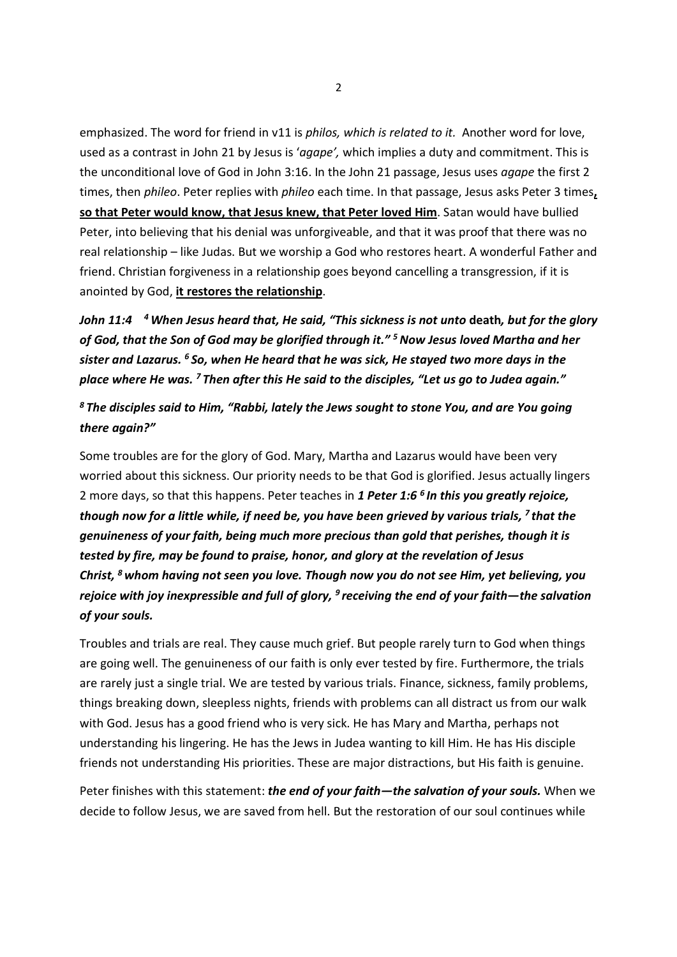emphasized. The word for friend in v11 is philos, which is related to it. Another word for love, used as a contrast in John 21 by Jesus is 'agape', which implies a duty and commitment. This is the unconditional love of God in John 3:16. In the John 21 passage, Jesus uses *agape* the first 2 times, then phileo. Peter replies with phileo each time. In that passage, Jesus asks Peter 3 times, so that Peter would know, that Jesus knew, that Peter loved Him. Satan would have bullied Peter, into believing that his denial was unforgiveable, and that it was proof that there was no real relationship – like Judas. But we worship a God who restores heart. A wonderful Father and friend. Christian forgiveness in a relationship goes beyond cancelling a transgression, if it is anointed by God, it restores the relationship.

John 11:4  $-4$  When Jesus heard that, He said, "This sickness is not unto death, but for the glory of God, that the Son of God may be glorified through it."<sup>5</sup> Now Jesus loved Martha and her sister and Lazarus.  $6$  So, when He heard that he was sick, He stayed two more days in the place where He was. <sup>7</sup>Then after this He said to the disciples, "Let us go to Judea again."

 $8$  The disciples said to Him, "Rabbi, lately the Jews sought to stone You, and are You going there again?"

Some troubles are for the glory of God. Mary, Martha and Lazarus would have been very worried about this sickness. Our priority needs to be that God is glorified. Jesus actually lingers 2 more days, so that this happens. Peter teaches in 1 Peter 1:6<sup>6</sup> In this you greatly rejoice, though now for a little while, if need be, you have been grieved by various trials,  $<sup>7</sup>$  that the</sup> genuineness of your faith, being much more precious than gold that perishes, though it is tested by fire, may be found to praise, honor, and glory at the revelation of Jesus Christ,  $<sup>8</sup>$  whom having not seen you love. Though now you do not see Him, yet believing, you</sup> rejoice with joy inexpressible and full of glory,  $9$  receiving the end of your faith—the salvation of your souls.

Troubles and trials are real. They cause much grief. But people rarely turn to God when things are going well. The genuineness of our faith is only ever tested by fire. Furthermore, the trials are rarely just a single trial. We are tested by various trials. Finance, sickness, family problems, things breaking down, sleepless nights, friends with problems can all distract us from our walk with God. Jesus has a good friend who is very sick. He has Mary and Martha, perhaps not understanding his lingering. He has the Jews in Judea wanting to kill Him. He has His disciple friends not understanding His priorities. These are major distractions, but His faith is genuine.

Peter finishes with this statement: the end of your faith—the salvation of your souls. When we decide to follow Jesus, we are saved from hell. But the restoration of our soul continues while

2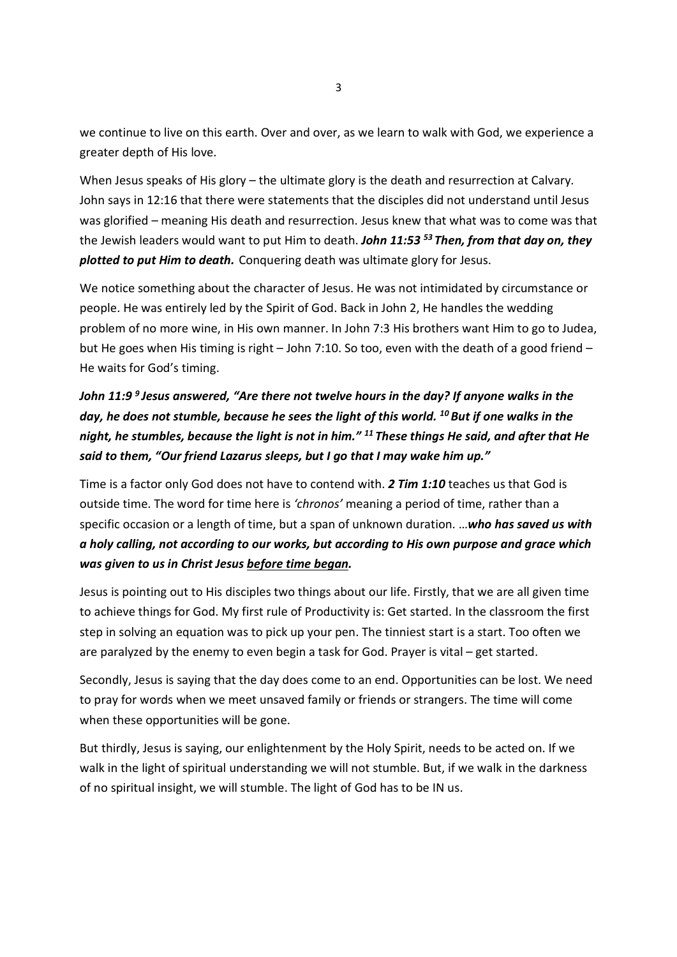we continue to live on this earth. Over and over, as we learn to walk with God, we experience a greater depth of His love.

When Jesus speaks of His glory – the ultimate glory is the death and resurrection at Calvary. John says in 12:16 that there were statements that the disciples did not understand until Jesus was glorified – meaning His death and resurrection. Jesus knew that what was to come was that the Jewish leaders would want to put Him to death. John 11:53  $53$  Then, from that day on, they plotted to put Him to death. Conquering death was ultimate glory for Jesus.

We notice something about the character of Jesus. He was not intimidated by circumstance or people. He was entirely led by the Spirit of God. Back in John 2, He handles the wedding problem of no more wine, in His own manner. In John 7:3 His brothers want Him to go to Judea, but He goes when His timing is right – John 7:10. So too, even with the death of a good friend – He waits for God's timing.

# John 11:9<sup>9</sup> Jesus answered, "Are there not twelve hours in the day? If anyone walks in the day, he does not stumble, because he sees the light of this world.  $^{10}$  But if one walks in the night, he stumbles, because the light is not in him."  $^{11}$  These things He said, and after that He said to them, "Our friend Lazarus sleeps, but I go that I may wake him up."

Time is a factor only God does not have to contend with. 2 Tim 1:10 teaches us that God is outside time. The word for time here is 'chronos' meaning a period of time, rather than a specific occasion or a length of time, but a span of unknown duration. ...who has saved us with a holy calling, not according to our works, but according to His own purpose and grace which was given to us in Christ Jesus before time began.

Jesus is pointing out to His disciples two things about our life. Firstly, that we are all given time to achieve things for God. My first rule of Productivity is: Get started. In the classroom the first step in solving an equation was to pick up your pen. The tinniest start is a start. Too often we are paralyzed by the enemy to even begin a task for God. Prayer is vital – get started.

Secondly, Jesus is saying that the day does come to an end. Opportunities can be lost. We need to pray for words when we meet unsaved family or friends or strangers. The time will come when these opportunities will be gone.

But thirdly, Jesus is saying, our enlightenment by the Holy Spirit, needs to be acted on. If we walk in the light of spiritual understanding we will not stumble. But, if we walk in the darkness of no spiritual insight, we will stumble. The light of God has to be IN us.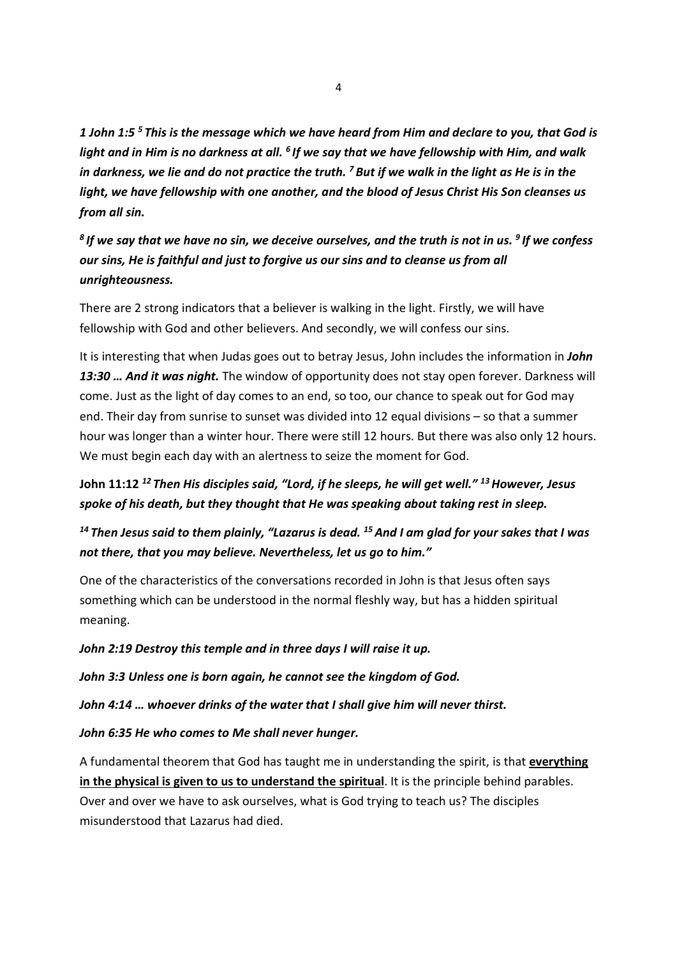1 John 1:5<sup>5</sup> This is the message which we have heard from Him and declare to you, that God is light and in Him is no darkness at all.  $<sup>6</sup>$  If we say that we have fellowship with Him, and walk</sup> in darkness, we lie and do not practice the truth.  $<sup>7</sup>$  But if we walk in the light as He is in the</sup> light, we have fellowship with one another, and the blood of Jesus Christ His Son cleanses us from all sin.

 $8$  If we say that we have no sin, we deceive ourselves, and the truth is not in us.  $9$  If we confess our sins, He is faithful and just to forgive us our sins and to cleanse us from all unrighteousness.

There are 2 strong indicators that a believer is walking in the light. Firstly, we will have fellowship with God and other believers. And secondly, we will confess our sins.

It is interesting that when Judas goes out to betray Jesus, John includes the information in *John* 13:30 ... And it was night. The window of opportunity does not stay open forever. Darkness will come. Just as the light of day comes to an end, so too, our chance to speak out for God may end. Their day from sunrise to sunset was divided into 12 equal divisions – so that a summer hour was longer than a winter hour. There were still 12 hours. But there was also only 12 hours. We must begin each day with an alertness to seize the moment for God.

# John 11:12<sup>12</sup> Then His disciples said, "Lord, if he sleeps, he will get well." <sup>13</sup> However, Jesus spoke of his death, but they thought that He was speaking about taking rest in sleep.

# <sup>14</sup> Then Jesus said to them plainly, "Lazarus is dead. <sup>15</sup> And I am glad for your sakes that I was not there, that you may believe. Nevertheless, let us go to him."

One of the characteristics of the conversations recorded in John is that Jesus often says something which can be understood in the normal fleshly way, but has a hidden spiritual meaning.

### John 2:19 Destroy this temple and in three days I will raise it up.

John 3:3 Unless one is born again, he cannot see the kingdom of God.

John 4:14 … whoever drinks of the water that I shall give him will never thirst.

## John 6:35 He who comes to Me shall never hunger.

A fundamental theorem that God has taught me in understanding the spirit, is that everything in the physical is given to us to understand the spiritual. It is the principle behind parables. Over and over we have to ask ourselves, what is God trying to teach us? The disciples misunderstood that Lazarus had died.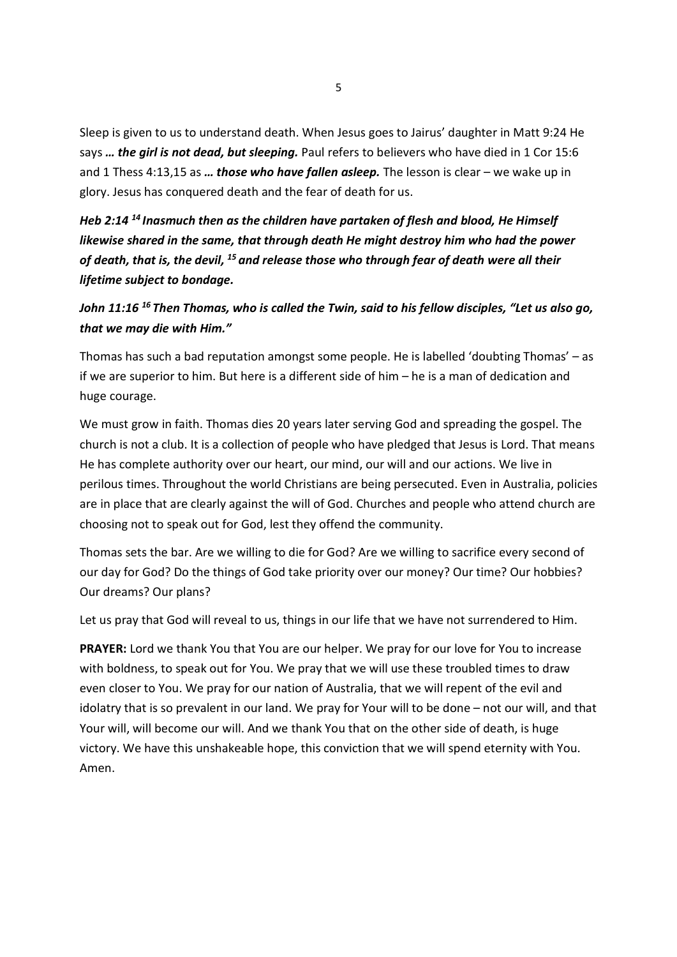Sleep is given to us to understand death. When Jesus goes to Jairus' daughter in Matt 9:24 He says ... the girl is not dead, but sleeping. Paul refers to believers who have died in 1 Cor 15:6 and 1 Thess 4:13,15 as  $\ldots$  those who have fallen asleep. The lesson is clear – we wake up in glory. Jesus has conquered death and the fear of death for us.

Heb 2:14  $^{14}$  Inasmuch then as the children have partaken of flesh and blood, He Himself likewise shared in the same, that through death He might destroy him who had the power of death, that is, the devil,  $^{15}$  and release those who through fear of death were all their lifetime subject to bondage.

# John 11:16  $^{16}$  Then Thomas, who is called the Twin, said to his fellow disciples, "Let us also go, that we may die with Him."

Thomas has such a bad reputation amongst some people. He is labelled 'doubting Thomas' – as if we are superior to him. But here is a different side of him – he is a man of dedication and huge courage.

We must grow in faith. Thomas dies 20 years later serving God and spreading the gospel. The church is not a club. It is a collection of people who have pledged that Jesus is Lord. That means He has complete authority over our heart, our mind, our will and our actions. We live in perilous times. Throughout the world Christians are being persecuted. Even in Australia, policies are in place that are clearly against the will of God. Churches and people who attend church are choosing not to speak out for God, lest they offend the community.

Thomas sets the bar. Are we willing to die for God? Are we willing to sacrifice every second of our day for God? Do the things of God take priority over our money? Our time? Our hobbies? Our dreams? Our plans?

Let us pray that God will reveal to us, things in our life that we have not surrendered to Him.

PRAYER: Lord we thank You that You are our helper. We pray for our love for You to increase with boldness, to speak out for You. We pray that we will use these troubled times to draw even closer to You. We pray for our nation of Australia, that we will repent of the evil and idolatry that is so prevalent in our land. We pray for Your will to be done – not our will, and that Your will, will become our will. And we thank You that on the other side of death, is huge victory. We have this unshakeable hope, this conviction that we will spend eternity with You. Amen.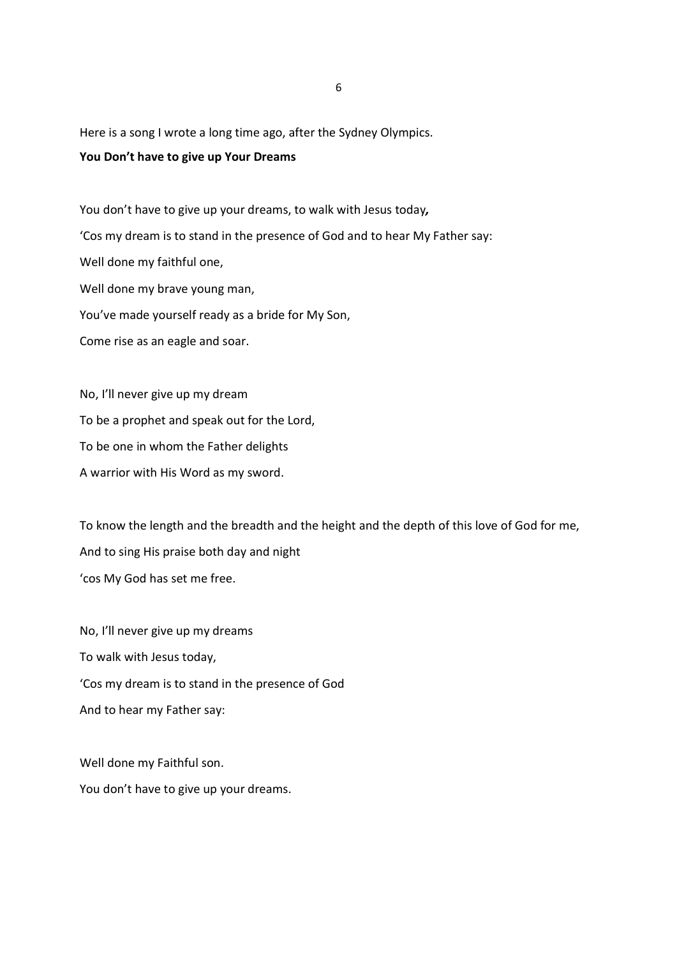Here is a song I wrote a long time ago, after the Sydney Olympics.

#### You Don't have to give up Your Dreams

You don't have to give up your dreams, to walk with Jesus today, 'Cos my dream is to stand in the presence of God and to hear My Father say: Well done my faithful one, Well done my brave young man, You've made yourself ready as a bride for My Son, Come rise as an eagle and soar.

No, I'll never give up my dream To be a prophet and speak out for the Lord, To be one in whom the Father delights A warrior with His Word as my sword.

To know the length and the breadth and the height and the depth of this love of God for me, And to sing His praise both day and night 'cos My God has set me free.

No, I'll never give up my dreams To walk with Jesus today, 'Cos my dream is to stand in the presence of God And to hear my Father say:

Well done my Faithful son. You don't have to give up your dreams.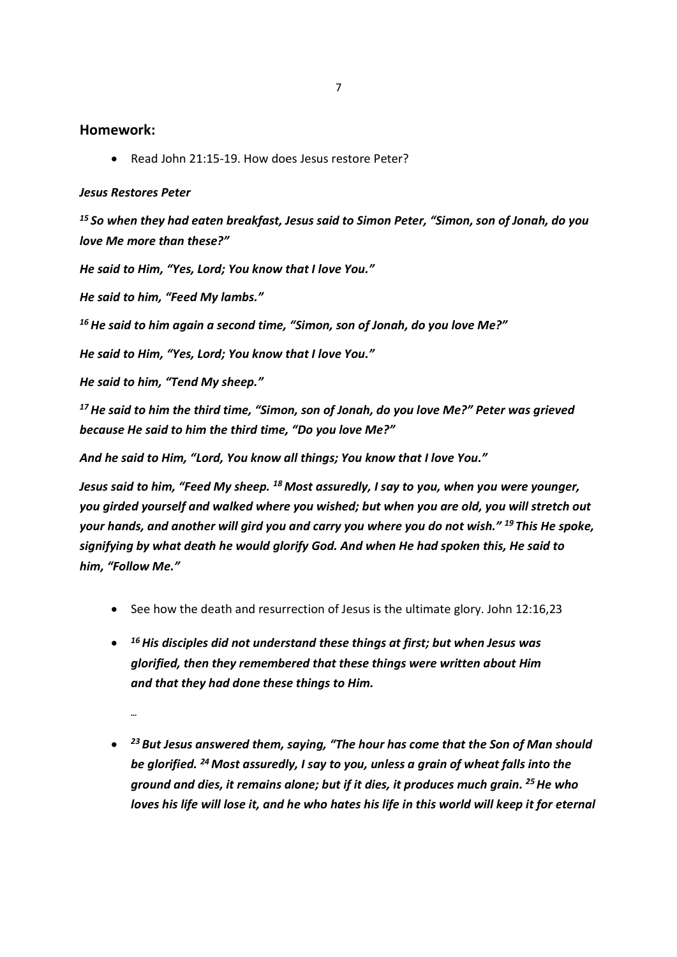#### Homework:

Read John 21:15-19. How does Jesus restore Peter?

#### Jesus Restores Peter

 $15$  So when they had eaten breakfast, Jesus said to Simon Peter, "Simon, son of Jonah, do you love Me more than these?"

He said to Him, "Yes, Lord; You know that I love You."

He said to him, "Feed My lambs."

 $16$  He said to him again a second time, "Simon, son of Jonah, do you love Me?"

He said to Him, "Yes, Lord; You know that I love You."

He said to him, "Tend My sheep."

 $17$  He said to him the third time, "Simon, son of Jonah, do you love Me?" Peter was grieved because He said to him the third time, "Do you love Me?"

And he said to Him, "Lord, You know all things; You know that I love You."

Jesus said to him, "Feed My sheep.  $^{18}$  Most assuredly, I say to you, when you were younger, you girded yourself and walked where you wished; but when you are old, you will stretch out your hands, and another will gird you and carry you where you do not wish." <sup>19</sup>This He spoke, signifying by what death he would glorify God. And when He had spoken this, He said to him, "Follow Me."

- $\bullet$  See how the death and resurrection of Jesus is the ultimate glory. John 12:16.23
- $\bullet$   $^{-16}$  His disciples did not understand these things at first; but when Jesus was glorified, then they remembered that these things were written about Him and that they had done these things to Him.
	- …
- $\bullet$   $^{23}$  But Jesus answered them, saying, "The hour has come that the Son of Man should be glorified. <sup>24</sup> Most assuredly, I say to you, unless a grain of wheat falls into the ground and dies, it remains alone; but if it dies, it produces much grain. <sup>25</sup> He who loves his life will lose it, and he who hates his life in this world will keep it for eternal